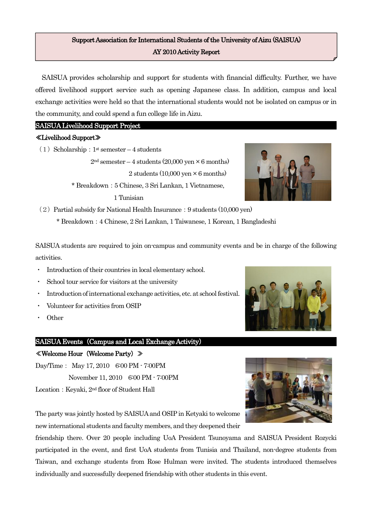# Support Association for International Students of the University of Aizu (SAISUA) AY 2010 Activity Report

SAISUA provides scholarship and support for students with financial difficulty. Further, we have offered livelihood support service such as opening Japanese class. In addition, campus and local exchange activities were held so that the international students would not be isolated on campus or in the community, and could spend a fun college life in Aizu.

## SAISUA Livelihood Support Project

## ≪Livelihood Support≫

(1) Scholarship:  $1<sup>st</sup>$  semester – 4 students

 $2<sup>nd</sup>$  semester – 4 students (20,000 yen  $\times$  6 months) 2 students (10,000 yen  $\times$  6 months) \* Breakdown:5 Chinese, 3 Sri Lankan, 1 Vietnamese,

1 Tunisian



 $(2)$  Partial subsidy for National Health Insurance: 9 students  $(10,000 \text{ yen})$ 

\* Breakdown:4 Chinese, 2 Sri Lankan, 1 Taiwanese, 1 Korean, 1 Bangladeshi

SAISUA students are required to join on-campus and community events and be in charge of the following activities.

- Introduction of their countries in local elementary school.
- School tour service for visitors at the university
- Introduction of international exchange activities, etc. at school festival.
- ・ Volunteer for activities from OSIP
- **Other**

## SAISUA Events (Campus and Local Exchange Activity)

## ≪Welcome Hour(Welcome Party)≫

Day/Time: May 17, 2010 6:00 PM - 7:00PM November 11, 2010 6:00 PM - 7:00PM Location: Keyaki, 2<sup>nd</sup> floor of Student Hall

The party was jointly hosted by SAISUA and OSIP in Ketyaki to welcome new international students and faculty members, and they deepened their

friendship there. Over 20 people including UoA President Tsunoyama and SAISUA President Rozycki participated in the event, and first UoA students from Tunisia and Thailand, non-degree students from Taiwan, and exchange students from Rose Hulman were invited. The students introduced themselves individually and successfully deepened friendship with other students in this event.